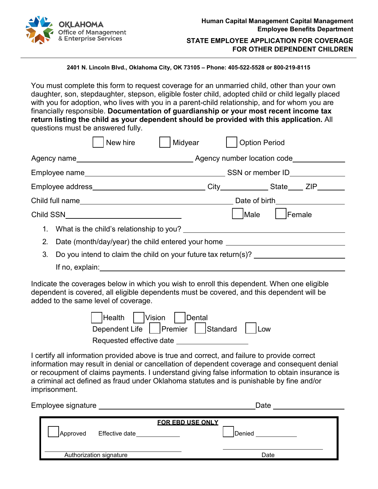

## **STATE EMPLOYEE APPLICATION FOR COVERAGE FOR OTHER DEPENDENT CHILDREN**

**2401 N. Lincoln Blvd., Oklahoma City, OK 73105 – Phone: 405-522-5528 or 800-219-8115**

You must complete this form to request coverage for an unmarried child, other than your own daughter, son, stepdaughter, stepson, eligible foster child, adopted child or child legally placed with you for adoption, who lives with you in a parent-child relationship, and for whom you are financially responsible. **Documentation of guardianship or your most recent income tax return listing the child as your dependent should be provided with this application.** All questions must be answered fully.

|         | Midyear<br>New hire                                            |                              | <b>Option Period</b>  |  |  |  |
|---------|----------------------------------------------------------------|------------------------------|-----------------------|--|--|--|
|         |                                                                |                              |                       |  |  |  |
|         |                                                                | SSN or member ID____________ |                       |  |  |  |
|         |                                                                |                              |                       |  |  |  |
|         |                                                                |                              | Date of birth________ |  |  |  |
|         |                                                                |                              | Male<br><b>Female</b> |  |  |  |
| $1_{-}$ | What is the child's relationship to you?                       |                              |                       |  |  |  |
| 2.      | Date (month/day/year) the child entered your home              |                              |                       |  |  |  |
| 3.      | Do you intend to claim the child on your future tax return(s)? |                              |                       |  |  |  |
|         | If no, explain:                                                |                              |                       |  |  |  |

Indicate the coverages below in which you wish to enroll this dependent. When one eligible dependent is covered, all eligible dependents must be covered, and this dependent will be added to the same level of coverage.

| Health   Vision   Dental                |  |  |  |  |  |  |
|-----------------------------------------|--|--|--|--|--|--|
| Dependent Life   Premier Standard   Low |  |  |  |  |  |  |
| Requested effective date                |  |  |  |  |  |  |

I certify all information provided above is true and correct, and failure to provide correct information may result in denial or cancellation of dependent coverage and consequent denial or recoupment of claims payments. I understand giving false information to obtain insurance is a criminal act defined as fraud under Oklahoma statutes and is punishable by fine and/or imprisonment.

| Employee signature      |                |                         | Date   |  |
|-------------------------|----------------|-------------------------|--------|--|
| Approved                | Effective date | <b>FOR EBD USE ONLY</b> | Denied |  |
| Authorization signature |                |                         | Date   |  |